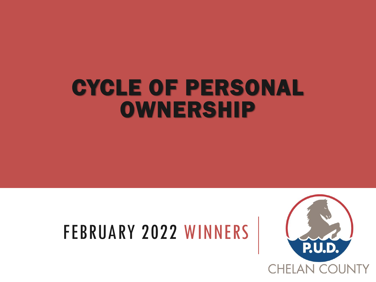## CYCLE OF PERSONAL OWNERSHIP

## FEBRUARY 2022 WINNERS

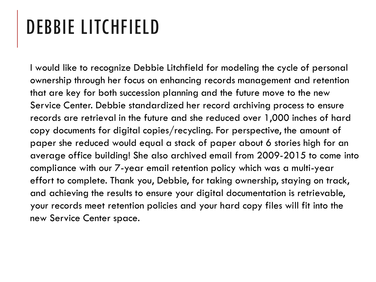## DEBBIE LITCHFIELD

I would like to recognize Debbie Litchfield for modeling the cycle of personal ownership through her focus on enhancing records management and retention that are key for both succession planning and the future move to the new Service Center. Debbie standardized her record archiving process to ensure records are retrieval in the future and she reduced over 1,000 inches of hard copy documents for digital copies/recycling. For perspective, the amount of paper she reduced would equal a stack of paper about 6 stories high for an average office building! She also archived email from 2009-2015 to come into compliance with our 7-year email retention policy which was a multi-year effort to complete. Thank you, Debbie, for taking ownership, staying on track, and achieving the results to ensure your digital documentation is retrievable, your records meet retention policies and your hard copy files will fit into the new Service Center space.